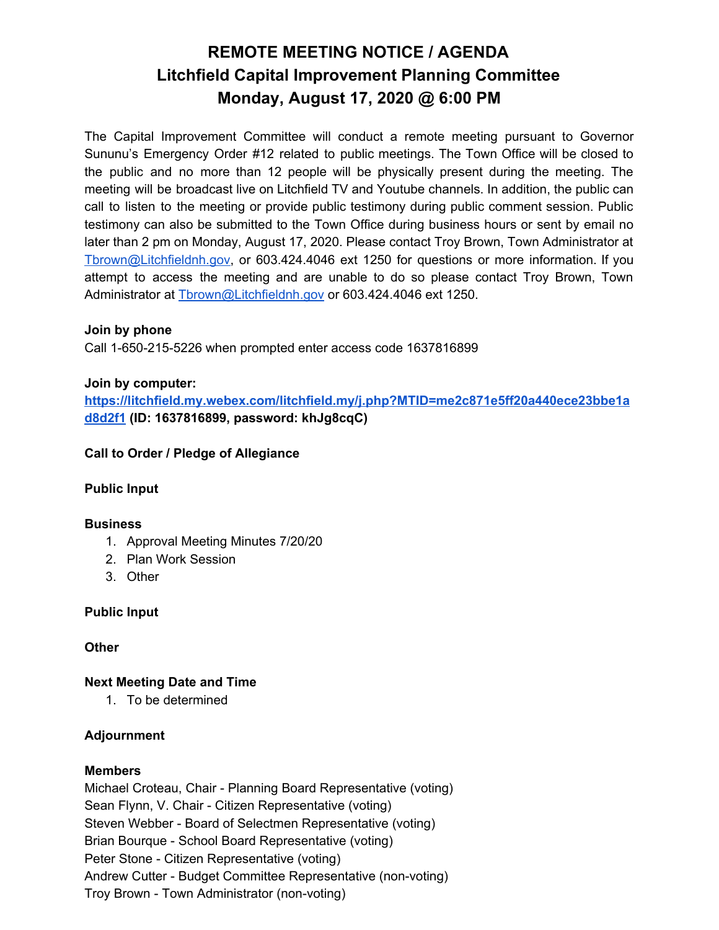# **REMOTE MEETING NOTICE / AGENDA Litchfield Capital Improvement Planning Committee Monday, August 17, 2020 @ 6:00 PM**

The Capital Improvement Committee will conduct a remote meeting pursuant to Governor Sununu's Emergency Order #12 related to public meetings. The Town Office will be closed to the public and no more than 12 people will be physically present during the meeting. The meeting will be broadcast live on Litchfield TV and Youtube channels. In addition, the public can call to listen to the meeting or provide public testimony during public comment session. Public testimony can also be submitted to the Town Office during business hours or sent by email no later than 2 pm on Monday, August 17, 2020. Please contact Troy Brown, Town Administrator at [Tbrown@Litchfieldnh.gov](mailto:Tbrown@Litchfieldnh.gov), or 603.424.4046 ext 1250 for questions or more information. If you attempt to access the meeting and are unable to do so please contact Troy Brown, Town Administrator at [Tbrown@Litchfieldnh.gov](mailto:Tbrown@Litchfieldnh.gov) or 603.424.4046 ext 1250.

# **Join by phone**

Call 1-650-215-5226 when prompted enter access code 1637816899

# **Join by computer:**

**[https://litchfield.my.webex.com/litchfield.my/j.php?MTID=me2c871e5ff20a440ece23bbe1a](https://litchfield.my.webex.com/litchfield.my/j.php?MTID=me2c871e5ff20a440ece23bbe1ad8d2f1) [d8d2f1](https://litchfield.my.webex.com/litchfield.my/j.php?MTID=me2c871e5ff20a440ece23bbe1ad8d2f1) (ID: 1637816899, password: khJg8cqC)**

# **Call to Order / Pledge of Allegiance**

# **Public Input**

### **Business**

- 1. Approval Meeting Minutes 7/20/20
- 2. Plan Work Session
- 3. Other

**Public Input**

### **Other**

**Next Meeting Date and Time**

1. To be determined

# **Adjournment**

# **Members**

Michael Croteau, Chair - Planning Board Representative (voting) Sean Flynn, V. Chair - Citizen Representative (voting) Steven Webber - Board of Selectmen Representative (voting) Brian Bourque - School Board Representative (voting) Peter Stone - Citizen Representative (voting) Andrew Cutter - Budget Committee Representative (non-voting) Troy Brown - Town Administrator (non-voting)